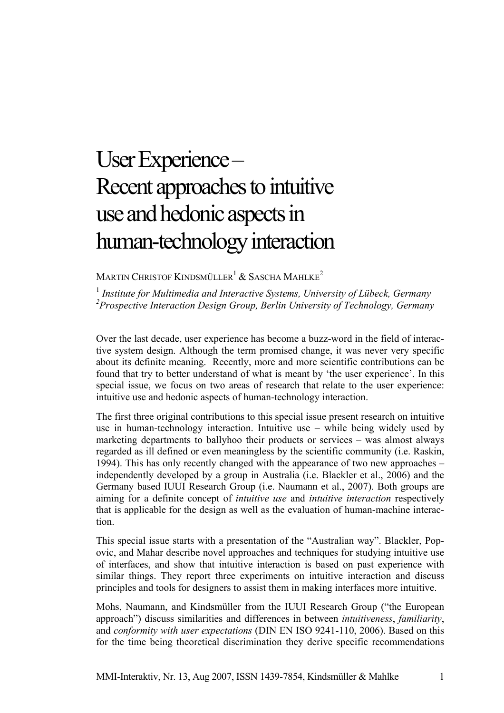## User Experience – Recent approaches to intuitive use and hedonic aspects in human-technology interaction

## MARTIN CHRISTOF KINDSMÜLLER<sup>1</sup> & SASCHA MAHLKE<sup>2</sup>

<sup>1</sup> Institute for Multimedia and Interactive Systems, University of Lübeck, Germany *2 Prospective Interaction Design Group, Berlin University of Technology, Germany* 

Over the last decade, user experience has become a buzz-word in the field of interactive system design. Although the term promised change, it was never very specific about its definite meaning. Recently, more and more scientific contributions can be found that try to better understand of what is meant by 'the user experience'. In this special issue, we focus on two areas of research that relate to the user experience: intuitive use and hedonic aspects of human-technology interaction.

The first three original contributions to this special issue present research on intuitive use in human-technology interaction. Intuitive use – while being widely used by marketing departments to ballyhoo their products or services – was almost always regarded as ill defined or even meaningless by the scientific community (i.e. Raskin, 1994). This has only recently changed with the appearance of two new approaches – independently developed by a group in Australia (i.e. Blackler et al., 2006) and the Germany based IUUI Research Group (i.e. Naumann et al., 2007). Both groups are aiming for a definite concept of *intuitive use* and *intuitive interaction* respectively that is applicable for the design as well as the evaluation of human-machine interaction.

This special issue starts with a presentation of the "Australian way". Blackler, Popovic, and Mahar describe novel approaches and techniques for studying intuitive use of interfaces, and show that intuitive interaction is based on past experience with similar things. They report three experiments on intuitive interaction and discuss principles and tools for designers to assist them in making interfaces more intuitive.

Mohs, Naumann, and Kindsmüller from the IUUI Research Group ("the European approach") discuss similarities and differences in between *intuitiveness*, *familiarity*, and *conformity with user expectations* (DIN EN ISO 9241-110, 2006). Based on this for the time being theoretical discrimination they derive specific recommendations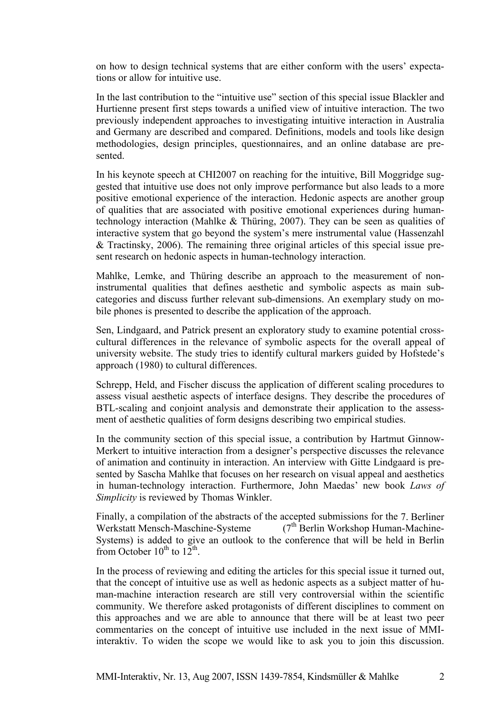on how to design technical systems that are either conform with the users' expectations or allow for intuitive use.

In the last contribution to the "intuitive use" section of this special issue Blackler and Hurtienne present first steps towards a unified view of intuitive interaction. The two previously independent approaches to investigating intuitive interaction in Australia and Germany are described and compared. Definitions, models and tools like design methodologies, design principles, questionnaires, and an online database are presented.

In his keynote speech at CHI2007 on reaching for the intuitive, Bill Moggridge suggested that intuitive use does not only improve performance but also leads to a more positive emotional experience of the interaction. Hedonic aspects are another group of qualities that are associated with positive emotional experiences during humantechnology interaction (Mahlke & Thüring, 2007). They can be seen as qualities of interactive system that go beyond the system's mere instrumental value (Hassenzahl & Tractinsky, 2006). The remaining three original articles of this special issue present research on hedonic aspects in human-technology interaction.

Mahlke, Lemke, and Thüring describe an approach to the measurement of noninstrumental qualities that defines aesthetic and symbolic aspects as main subcategories and discuss further relevant sub-dimensions. An exemplary study on mobile phones is presented to describe the application of the approach.

Sen, Lindgaard, and Patrick present an exploratory study to examine potential crosscultural differences in the relevance of symbolic aspects for the overall appeal of university website. The study tries to identify cultural markers guided by Hofstede's approach (1980) to cultural differences.

Schrepp, Held, and Fischer discuss the application of different scaling procedures to assess visual aesthetic aspects of interface designs. They describe the procedures of BTL-scaling and conjoint analysis and demonstrate their application to the assessment of aesthetic qualities of form designs describing two empirical studies.

In the community section of this special issue, a contribution by Hartmut Ginnow-Merkert to intuitive interaction from a designer's perspective discusses the relevance of animation and continuity in interaction. An interview with Gitte Lindgaard is presented by Sascha Mahlke that focuses on her research on visual appeal and aesthetics in human-technology interaction. Furthermore, John Maedas' new book *Laws of Simplicity* is reviewed by Thomas Winkler.

Finally, a compilation of the abstracts of the accepted submissions for the [7. Berliner](http://www.zmms.tu-berlin.de/de/veranstaltungen/7bwmms/index.php)  [Werkstatt Mensch-Maschine-Systeme](http://www.zmms.tu-berlin.de/de/veranstaltungen/7bwmms/index.php)  $(7<sup>th</sup>$  Berlin Workshop Human-Machine-Systems) is added to give an outlook to the conference that will be held in Berlin from October  $10^{th}$  to  $12^{th}$ .

In the process of reviewing and editing the articles for this special issue it turned out, that the concept of intuitive use as well as hedonic aspects as a subject matter of human-machine interaction research are still very controversial within the scientific community. We therefore asked protagonists of different disciplines to comment on this approaches and we are able to announce that there will be at least two peer commentaries on the concept of intuitive use included in the next issue of MMIinteraktiv. To widen the scope we would like to ask you to join this discussion.